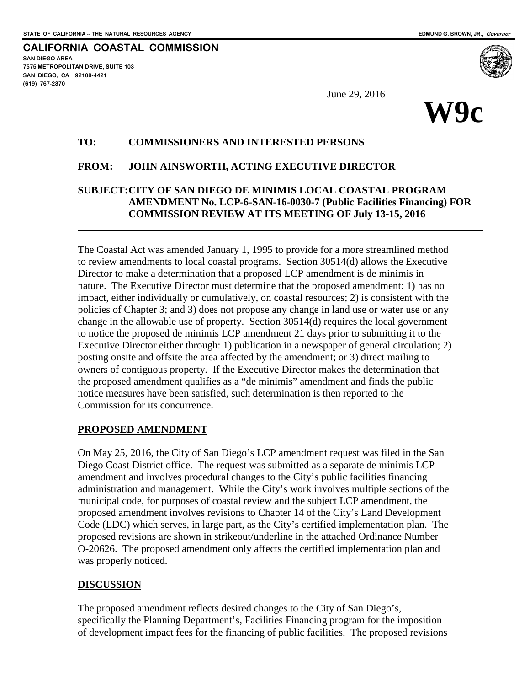**SAN DIEGO AREA**

**(619) 767-2370**

**7575 METROPOLITAN DRIVE, SUITE 103 SAN DIEGO, CA 92108-4421**

 $\overline{a}$ 

**CALIFORNIA COASTAL COMMISSION**

June 29, 2016



### **TO: COMMISSIONERS AND INTERESTED PERSONS**

### **FROM: JOHN AINSWORTH, ACTING EXECUTIVE DIRECTOR**

## **SUBJECT:CITY OF SAN DIEGO DE MINIMIS LOCAL COASTAL PROGRAM AMENDMENT No. LCP-6-SAN-16-0030-7 (Public Facilities Financing) FOR COMMISSION REVIEW AT ITS MEETING OF July 13-15, 2016**

The Coastal Act was amended January 1, 1995 to provide for a more streamlined method to review amendments to local coastal programs. Section 30514(d) allows the Executive Director to make a determination that a proposed LCP amendment is de minimis in nature. The Executive Director must determine that the proposed amendment: 1) has no impact, either individually or cumulatively, on coastal resources; 2) is consistent with the policies of Chapter 3; and 3) does not propose any change in land use or water use or any change in the allowable use of property. Section 30514(d) requires the local government to notice the proposed de minimis LCP amendment 21 days prior to submitting it to the Executive Director either through: 1) publication in a newspaper of general circulation; 2) posting onsite and offsite the area affected by the amendment; or 3) direct mailing to owners of contiguous property. If the Executive Director makes the determination that the proposed amendment qualifies as a "de minimis" amendment and finds the public notice measures have been satisfied, such determination is then reported to the Commission for its concurrence.

## **PROPOSED AMENDMENT**

On May 25, 2016, the City of San Diego's LCP amendment request was filed in the San Diego Coast District office. The request was submitted as a separate de minimis LCP amendment and involves procedural changes to the City's public facilities financing administration and management. While the City's work involves multiple sections of the municipal code, for purposes of coastal review and the subject LCP amendment, the proposed amendment involves revisions to Chapter 14 of the City's Land Development Code (LDC) which serves, in large part, as the City's certified implementation plan. The proposed revisions are shown in strikeout/underline in the attached Ordinance Number O-20626. The proposed amendment only affects the certified implementation plan and was properly noticed.

## **DISCUSSION**

The proposed amendment reflects desired changes to the City of San Diego's, specifically the Planning Department's, Facilities Financing program for the imposition of development impact fees for the financing of public facilities. The proposed revisions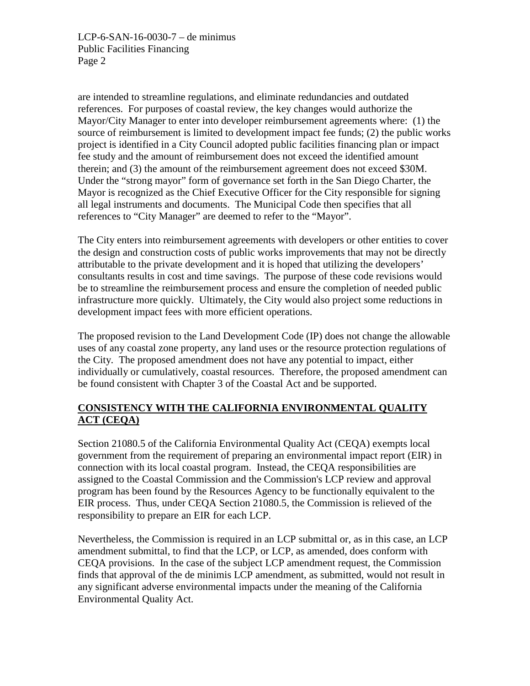LCP-6-SAN-16-0030-7 – de minimus Public Facilities Financing Page 2

are intended to streamline regulations, and eliminate redundancies and outdated references. For purposes of coastal review, the key changes would authorize the Mayor/City Manager to enter into developer reimbursement agreements where: (1) the source of reimbursement is limited to development impact fee funds; (2) the public works project is identified in a City Council adopted public facilities financing plan or impact fee study and the amount of reimbursement does not exceed the identified amount therein; and (3) the amount of the reimbursement agreement does not exceed \$30M. Under the "strong mayor" form of governance set forth in the San Diego Charter, the Mayor is recognized as the Chief Executive Officer for the City responsible for signing all legal instruments and documents. The Municipal Code then specifies that all references to "City Manager" are deemed to refer to the "Mayor".

The City enters into reimbursement agreements with developers or other entities to cover the design and construction costs of public works improvements that may not be directly attributable to the private development and it is hoped that utilizing the developers' consultants results in cost and time savings. The purpose of these code revisions would be to streamline the reimbursement process and ensure the completion of needed public infrastructure more quickly. Ultimately, the City would also project some reductions in development impact fees with more efficient operations.

The proposed revision to the Land Development Code (IP) does not change the allowable uses of any coastal zone property, any land uses or the resource protection regulations of the City. The proposed amendment does not have any potential to impact, either individually or cumulatively, coastal resources. Therefore, the proposed amendment can be found consistent with Chapter 3 of the Coastal Act and be supported.

# **CONSISTENCY WITH THE CALIFORNIA ENVIRONMENTAL QUALITY ACT (CEQA)**

Section 21080.5 of the California Environmental Quality Act (CEQA) exempts local government from the requirement of preparing an environmental impact report (EIR) in connection with its local coastal program. Instead, the CEQA responsibilities are assigned to the Coastal Commission and the Commission's LCP review and approval program has been found by the Resources Agency to be functionally equivalent to the EIR process. Thus, under CEQA Section 21080.5, the Commission is relieved of the responsibility to prepare an EIR for each LCP.

Nevertheless, the Commission is required in an LCP submittal or, as in this case, an LCP amendment submittal, to find that the LCP, or LCP, as amended, does conform with CEQA provisions. In the case of the subject LCP amendment request, the Commission finds that approval of the de minimis LCP amendment, as submitted, would not result in any significant adverse environmental impacts under the meaning of the California Environmental Quality Act.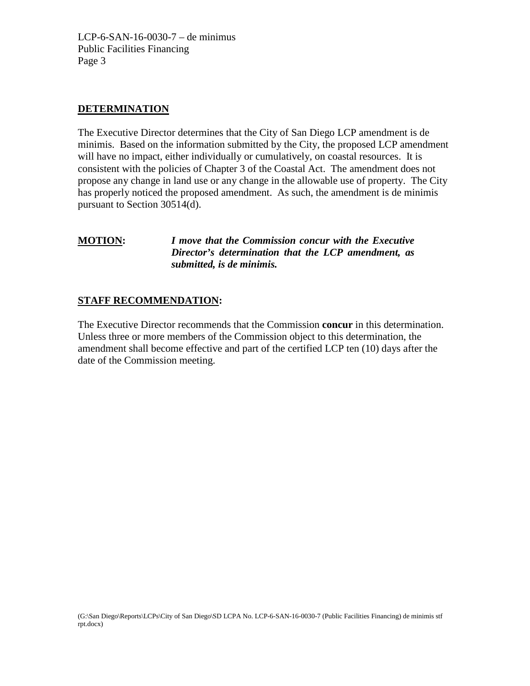LCP-6-SAN-16-0030-7 – de minimus Public Facilities Financing Page 3

## **DETERMINATION**

The Executive Director determines that the City of San Diego LCP amendment is de minimis. Based on the information submitted by the City, the proposed LCP amendment will have no impact, either individually or cumulatively, on coastal resources. It is consistent with the policies of Chapter 3 of the Coastal Act. The amendment does not propose any change in land use or any change in the allowable use of property. The City has properly noticed the proposed amendment. As such, the amendment is de minimis pursuant to Section 30514(d).

**MOTION:** *I move that the Commission concur with the Executive Director's determination that the LCP amendment, as submitted, is de minimis.*

## **STAFF RECOMMENDATION:**

The Executive Director recommends that the Commission **concur** in this determination. Unless three or more members of the Commission object to this determination, the amendment shall become effective and part of the certified LCP ten (10) days after the date of the Commission meeting.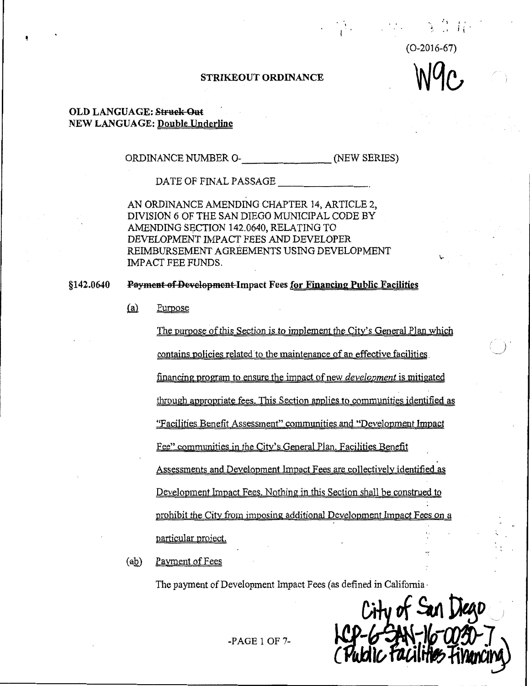$(O-2016-67)$ 

 $\mathcal{O}(\mathcal{E}^{\mathcal{E}})$ 

### STRIKEOUT ORDINANCE

### **OLD LANGUAGE: Struck-Out NEW LANGUAGE: Double Underline**

ORDINANCE NUMBER O- (NEW SERIES)

DATE OF FINAL PASSAGE

AN ORDINANCE AMENDING CHAPTER 14, ARTICLE 2, DIVISION 6 OF THE SAN DIEGO MUNICIPAL CODE BY AMENDING SECTION 142.0640, RELATING TO DEVELOPMENT IMPACT FEES AND DEVELOPER REIMBURSEMENT AGRÉEMENTS USING DEVELOPMENT IMPACT FEE FUNDS.

Payment of Development-Impact Fees for Financing Public Facilities \$142.0640

> $(a)$ Purpose

> > The purpose of this Section is to implement the City's General Plan which contains policies related to the maintenance of an effective facilities financing program to ensure the impact of new *development* is mitigated

> > through appropriate fees. This Section applies to communities identified as

"Facilities Benefit Assessment" communities and "Development Impact

Fee" communities in the City's General Plan, Facilities Benefit

Assessments and Development Impact Fees are collectively identified as

Development Impact Fees. Nothing in this Section shall be construed to

prohibit the City from imposing additional Development Impact Fees on a

particular project.

 $(ab)$ Payment of Fees

The payment of Development Impact Fees (as defined in California

City of San Liego

 $-PAGE1OF7-$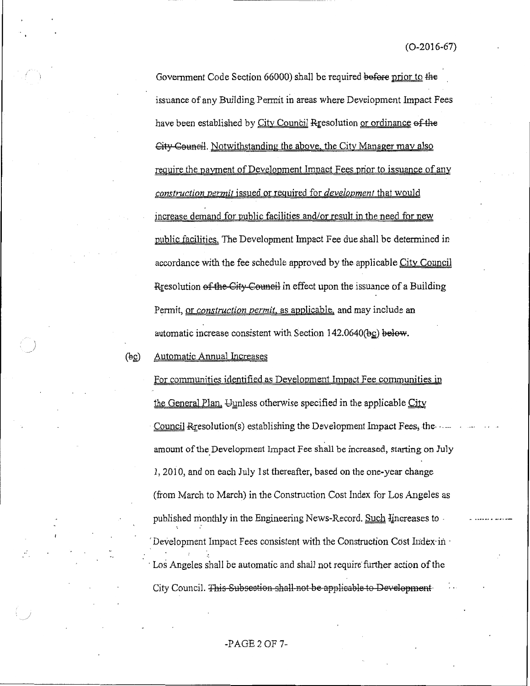Government Code Section 66000) shall be required before prior to the issuance of any Building Permit in areas where Development Impact Fees have been established by City Council Rresolution or ordinance of the City Council. Notwithstanding the above, the City Manager may also require the payment of Development Impact Fees prior to issuance of any construction permit issued or required for *development* that would increase demand for public facilities and/or result in the need for new public facilities. The Development Impact Fee due shall be determined in accordance with the fee schedule approved by the applicable City Council Resolution of the City Council in effect upon the issuance of a Building Permit, or construction permit, as applicable, and may include an automatic increase consistent with Section 142.0640(bc) below.

Automatic Annual Increases  $(\frac{1}{2}$ 

> For communities identified as Development Impact Fee communities in the General Plan, Uunless otherwise specified in the applicable City Council Resolution(s) establishing the Development Impact Fees, the ... amount of the Development Impact Fee shall be increased, starting on July 1, 2010, and on each July 1st thereafter, based on the one-year change (from March to March) in the Construction Cost Index for Los Angeles as published monthly in the Engineering News-Record. Such Hincreases to Development Impact Fees consistent with the Construction Cost Index in Los Angeles shall be automatic and shall not require further action of the City Council. This Subsection shall not be applicable to Development.

### $-PAGE2$  OF 7-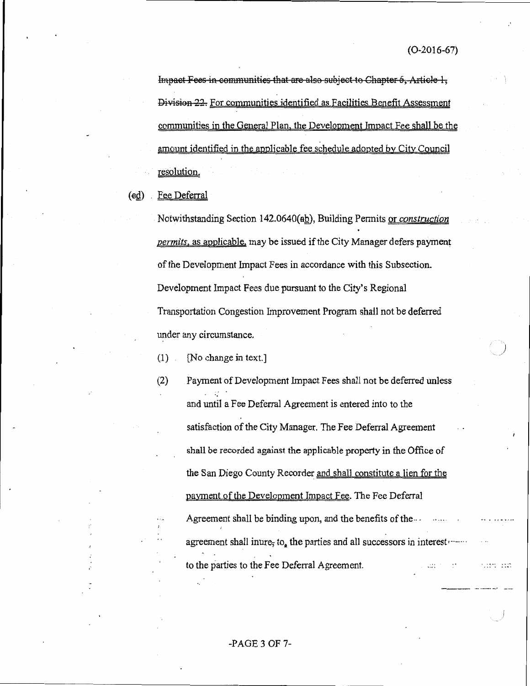in de serviciones

Impact Fees in communities that are also subject to Chapter 6, Article 1, Division 22. For communities identified as Facilities Benefit Assessment communities in the General Plan, the Development Impact Fee shall be the amount identified in the applicable fee schedule adopted by City Council resolution.

 $\left(\text{ed}\right)$ Fee Deferral

 $(2)$ 

Notwithstanding Section 142.0640(ab), Building Permits or construction permits, as applicable, may be issued if the City Manager defers payment of the Development Impact Fees in accordance with this Subsection. Development Impact Fees due pursuant to the City's Regional Transportation Congestion Improvement Program shall not be deferred under any circumstance.

[No change in text.]  $(1)$ 

> Payment of Development Impact Fees shall not be deferred unless and until a Fee Deferral Agreement is entered into to the satisfaction of the City Manager. The Fee Deferral Agreement shall be recorded against the applicable property in the Office of the San Diego County Recorder and shall constitute a lien for the payment of the Development Impact Fee. The Fee Deferral Agreement shall be binding upon, and the benefits of the... agreement shall inure, to, the parties and all successors in interest to the parties to the Fee Deferral Agreement.  $222.78 \pm 0.027$

### $-PAGE3$  OF 7-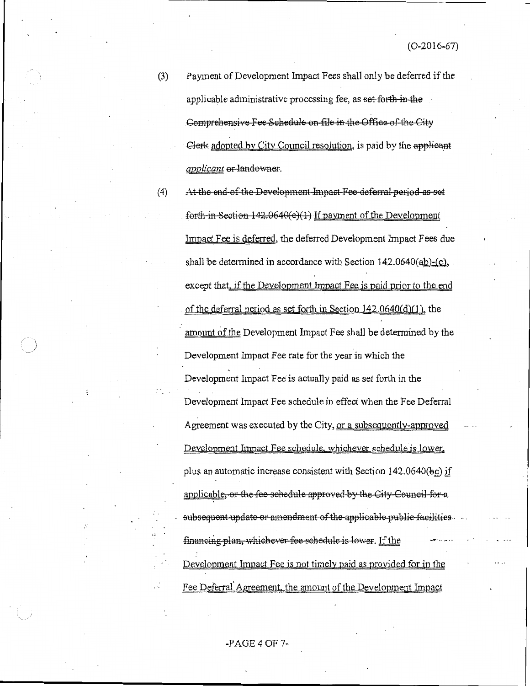$(3)$ Payment of Development Impact Fees shall only be deferred if the applicable administrative processing fee, as set-forth in the Comprehensive Fee Schedule on file in the Office of the City Clerk adopted by City Council resolution, is paid by the applicant applicant or landowner.

 $(4)$ 

At the end of the Development Impact Fee deferral period as set forth in Section 142.0640(e)(1) If payment of the Development Impact Fee is deferred, the deferred Development Impact Fees due shall be determined in accordance with Section  $142.0640 \text{(ab)} - \text{(c)}$ , except that, if the Development Impact Fee is paid prior to the end of the deferral period as set forth in Section 142.0640(d)(1), the amount of the Development Impact Fee shall be determined by the Development Impact Fee rate for the year in which the Development Impact Fee' is actually paid as set forth in the Development Impact Fee schedule in effect when the Fee Deferral Agreement was executed by the City, or a subsequently-approved Development Impact Fee schedule, whichever schedule is lower, plus an automatic increase consistent with Section 142.0640(bc) if applicable, or the fee schedule approved by the City Council for a subsequent update or amendment of the applicable public facilities. financing plan, whichever fee schedule is lower. If the Development Impact Fee is not timely paid as provided for in the Fee Deferral Agreement, the amount of the Development Impact

### $-PAGE 4 OF 7-$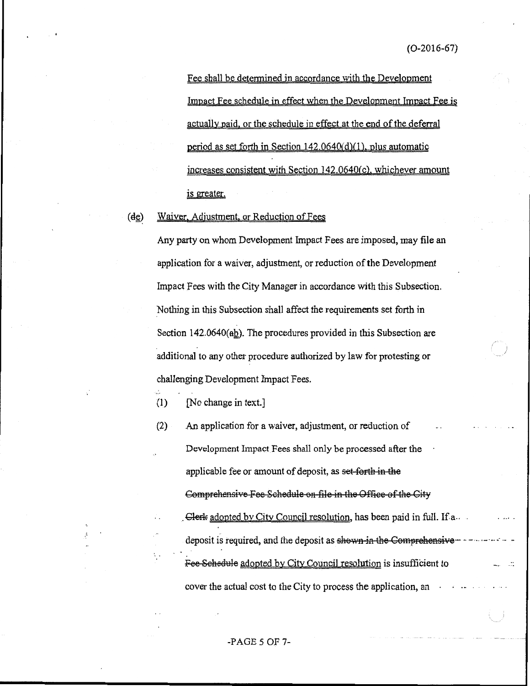Fee shall be determined in accordance with the Development Impact Fee schedule in effect when the Development Impact Fee is actually paid, or the schedule in effect at the end of the deferral period as set forth in Section  $142.0640(d)(1)$ , plus automatic increases consistent with Section 142.0640(c), whichever amount is greater.

Waiver, Adjustment, or Reduction of Fees  $(d<sub>c</sub>)$ 

> Any party on whom Development Impact Fees are imposed, may file an application for a waiver, adjustment, or reduction of the Development Impact Fees with the City Manager in accordance with this Subsection. Nothing in this Subsection shall affect the requirements set forth in Section  $142.0640$ ( $ab$ ). The procedures provided in this Subsection are additional to any other procedure authorized by law for protesting or challenging Development Impact Fees.

[No change in text.]  $(1)$ 

 $(2)$ An application for a waiver, adjustment, or reduction of Development Impact Fees shall only be processed after the applicable fee or amount of deposit, as set forth in the Comprehensive Fee Schedule on file in the Office of the City Clerk adopted by City Council resolution, has been paid in full. If a. deposit is required, and the deposit as shown in the Comprehensive - - - - - - - - - -Fee Schedule adopted by City Council resolution is insufficient to cover the actual cost to the City to process the application, an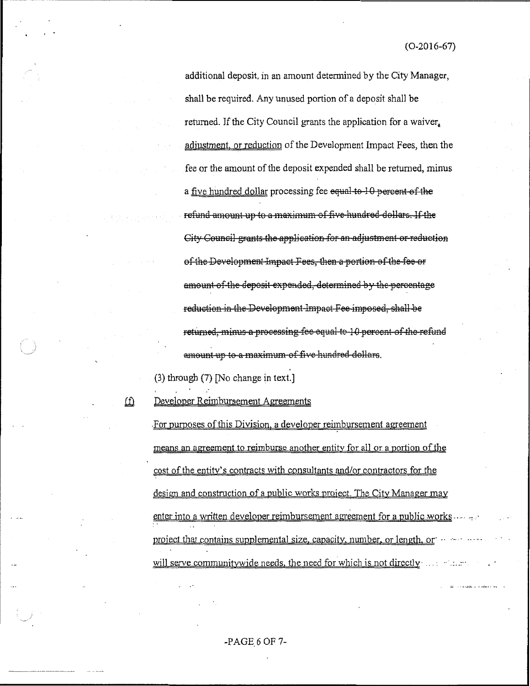additional deposit, in an amount determined by the City Manager, shall be required. Any unused portion of a deposit shall be returned. If the City Council grants the application for a waiver. adjustment, or reduction of the Development Impact Fees, then the fee or the amount of the deposit expended shall be returned, minus a five hundred dollar processing fee equal to 10 percent of the refund amount up to a maximum of five hundred dollars. If the City Council grants the application for an adjustment or reduction of the Development Impact Fees, then a portion of the fee or amount of the deposit expended, determined by the percentage reduction in the Development Impact Fee imposed, shall be returned, minus a processing fee equal to 10 percent of the refund amount up to a maximum of five hundred dollars.

(3) through (7) [No change in text.]

ίÛ

Developer Reimbursement Agreements

For purposes of this Division, a developer reimbursement agreement means an agreement to reimburse another entity for all or a portion of the cost of the entity's contracts with consultants and/or contractors for the design and construction of a public works project. The City Manager may enter into a written developer reimbursement agreement for a public works project that contains supplemental size, capacity, number, or length, or ... will serve community wide needs, the need for which is not directly we will serve

 $-PAGE$  6 OF 7-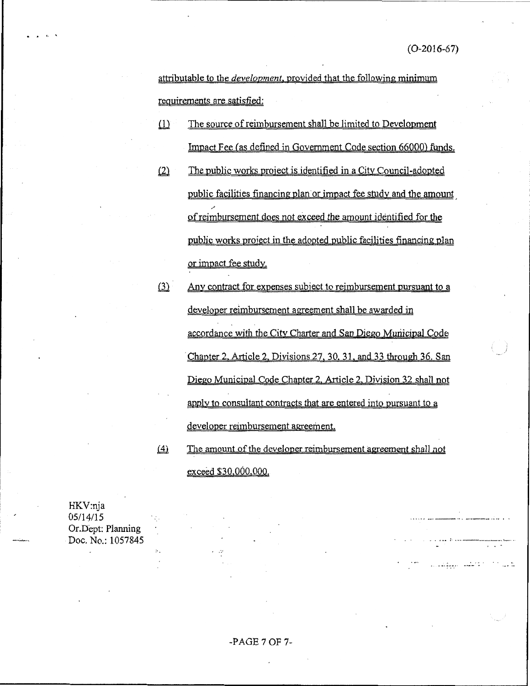a shekara kata wa matu wa kutoka wa 1922.<br>Matu wa 1922

المار المنافر المنافر المنافر المنافر المنافر المنافر المنافر المنافر المنافر المنافر المنافر المنافر المنافر<br>المنافر المنافر المنافر المنافر المنافر المنافر المنافر المنافر المنافر المنافر المنافر المنافر المنافر المناف

attributable to the *development*, provided that the following minimum requirements are satisfied:

- $(1)$ The source of reimbursement shall be limited to Development Impact Fee (as defined in Government Code section 66000) funds.
- $(2)$ The public works project is identified in a City Council-adopted public facilities financing plan or impact fee study and the amount of reimbursement does not exceed the amount identified for the public works project in the adopted public facilities financing plan or impact fee study.
- $(3)$ Any contract for expenses subject to reimbursement pursuant to a developer reimbursement agreement shall be awarded in accordance with the City Charter and San Diego Municipal Code Chapter 2, Article 2, Divisions 27, 30, 31, and 33 through 36. San Diego Municipal Code Chapter 2, Article 2, Division 32 shall not apply to consultant contracts that are entered into pursuant to a developer reimbursement agreement.

 $(4)$ The amount of the developer reimbursement agreement shall not exceed \$30,000,000.

HKV:nja  $05/14/15$ Or.Dept: Planning Doc. No.: 1057845

### -PAGE 7 OF 7-